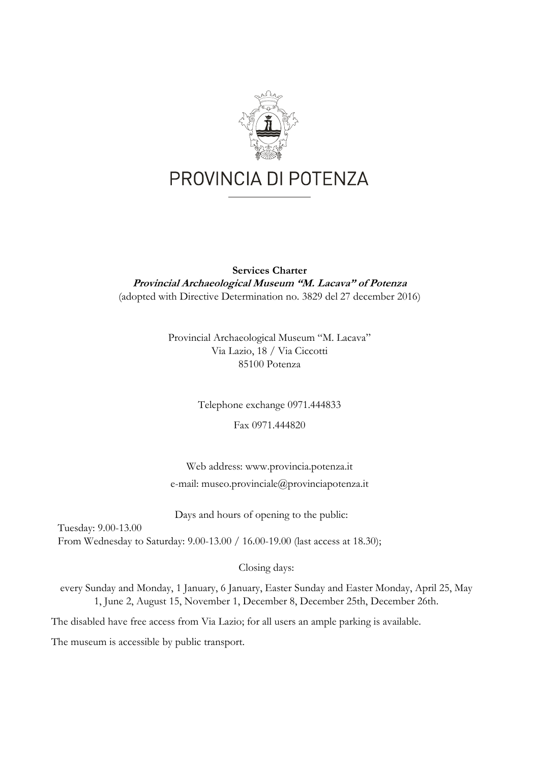

### **Services Charter Provincial Archaeological Museum "M. Lacava" of Potenza**  (adopted with Directive Determination no. 3829 del 27 december 2016)

Provincial Archaeological Museum "M. Lacava" Via Lazio, 18 / Via Ciccotti 85100 Potenza

Telephone exchange 0971.444833

Fax 0971.444820

Web address: www.provincia.potenza.it e-mail: museo.provinciale@provinciapotenza.it

Days and hours of opening to the public:

Tuesday: 9.00-13.00 From Wednesday to Saturday: 9.00-13.00 / 16.00-19.00 (last access at 18.30);

Closing days:

every Sunday and Monday, 1 January, 6 January, Easter Sunday and Easter Monday, April 25, May 1, June 2, August 15, November 1, December 8, December 25th, December 26th.

The disabled have free access from Via Lazio; for all users an ample parking is available.

The museum is accessible by public transport.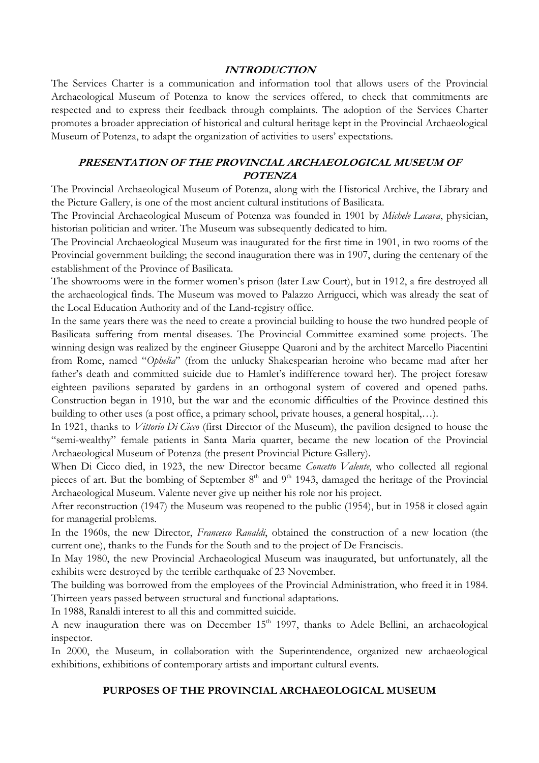#### **INTRODUCTION**

The Services Charter is a communication and information tool that allows users of the Provincial Archaeological Museum of Potenza to know the services offered, to check that commitments are respected and to express their feedback through complaints. The adoption of the Services Charter promotes a broader appreciation of historical and cultural heritage kept in the Provincial Archaeological Museum of Potenza, to adapt the organization of activities to users' expectations.

#### **PRESENTATION OF THE PROVINCIAL ARCHAEOLOGICAL MUSEUM OF POTENZA**

The Provincial Archaeological Museum of Potenza, along with the Historical Archive, the Library and the Picture Gallery, is one of the most ancient cultural institutions of Basilicata.

The Provincial Archaeological Museum of Potenza was founded in 1901 by *Michele Lacava*, physician, historian politician and writer. The Museum was subsequently dedicated to him.

The Provincial Archaeological Museum was inaugurated for the first time in 1901, in two rooms of the Provincial government building; the second inauguration there was in 1907, during the centenary of the establishment of the Province of Basilicata.

The showrooms were in the former women's prison (later Law Court), but in 1912, a fire destroyed all the archaeological finds. The Museum was moved to Palazzo Arrigucci, which was already the seat of the Local Education Authority and of the Land-registry office.

In the same years there was the need to create a provincial building to house the two hundred people of Basilicata suffering from mental diseases. The Provincial Committee examined some projects. The winning design was realized by the engineer Giuseppe Quaroni and by the architect Marcello Piacentini from Rome, named "*Ophelia*" (from the unlucky Shakespearian heroine who became mad after her father's death and committed suicide due to Hamlet's indifference toward her). The project foresaw eighteen pavilions separated by gardens in an orthogonal system of covered and opened paths. Construction began in 1910, but the war and the economic difficulties of the Province destined this building to other uses (a post office, a primary school, private houses, a general hospital,…).

In 1921, thanks to *Vittorio Di Cicco* (first Director of the Museum), the pavilion designed to house the "semi-wealthy" female patients in Santa Maria quarter, became the new location of the Provincial Archaeological Museum of Potenza (the present Provincial Picture Gallery).

When Di Cicco died, in 1923, the new Director became *Concetto Valente*, who collected all regional pieces of art. But the bombing of September  $8<sup>th</sup>$  and  $9<sup>th</sup>$  1943, damaged the heritage of the Provincial Archaeological Museum. Valente never give up neither his role nor his project.

After reconstruction (1947) the Museum was reopened to the public (1954), but in 1958 it closed again for managerial problems.

In the 1960s, the new Director, *Francesco Ranaldi*, obtained the construction of a new location (the current one), thanks to the Funds for the South and to the project of De Franciscis.

In May 1980, the new Provincial Archaeological Museum was inaugurated, but unfortunately, all the exhibits were destroyed by the terrible earthquake of 23 November.

The building was borrowed from the employees of the Provincial Administration, who freed it in 1984. Thirteen years passed between structural and functional adaptations.

In 1988, Ranaldi interest to all this and committed suicide.

A new inauguration there was on December  $15<sup>th</sup>$  1997, thanks to Adele Bellini, an archaeological inspector.

In 2000, the Museum, in collaboration with the Superintendence, organized new archaeological exhibitions, exhibitions of contemporary artists and important cultural events.

#### **PURPOSES OF THE PROVINCIAL ARCHAEOLOGICAL MUSEUM**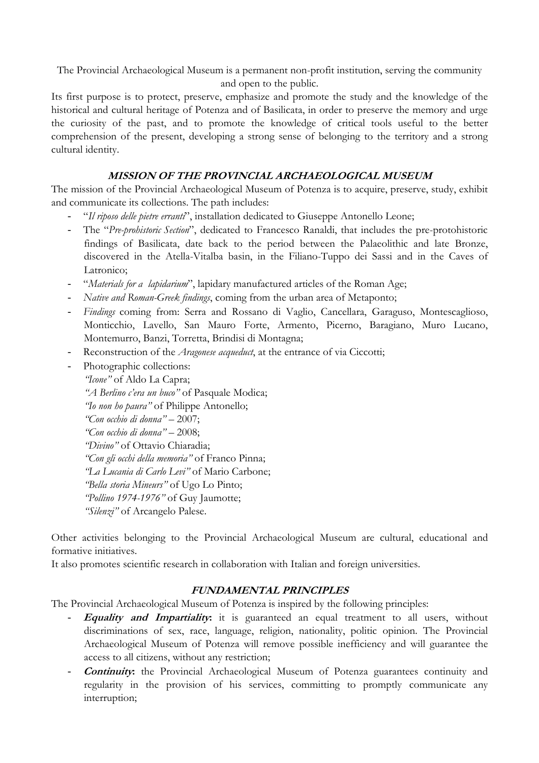The Provincial Archaeological Museum is a permanent non-profit institution, serving the community and open to the public.

Its first purpose is to protect, preserve, emphasize and promote the study and the knowledge of the historical and cultural heritage of Potenza and of Basilicata, in order to preserve the memory and urge the curiosity of the past, and to promote the knowledge of critical tools useful to the better comprehension of the present, developing a strong sense of belonging to the territory and a strong cultural identity.

## **MISSION OF THE PROVINCIAL ARCHAEOLOGICAL MUSEUM**

The mission of the Provincial Archaeological Museum of Potenza is to acquire, preserve, study, exhibit and communicate its collections. The path includes:

- "*Il riposo delle pietre erranti*", installation dedicated to Giuseppe Antonello Leone;
- The "*Pre-prohistoric Section*", dedicated to Francesco Ranaldi, that includes the pre-protohistoric findings of Basilicata, date back to the period between the Palaeolithic and late Bronze, discovered in the Atella-Vitalba basin, in the Filiano-Tuppo dei Sassi and in the Caves of Latronico;
- "*Materials for a lapidarium*", lapidary manufactured articles of the Roman Age;
- *Native and Roman-Greek findings*, coming from the urban area of Metaponto;
- *Findings* coming from: Serra and Rossano di Vaglio, Cancellara, Garaguso, Montescaglioso, Monticchio, Lavello, San Mauro Forte, Armento, Picerno, Baragiano, Muro Lucano, Montemurro, Banzi, Torretta, Brindisi di Montagna;
- Reconstruction of the *Aragonese acqueduct*, at the entrance of via Ciccotti;
- Photographic collections: *"Icone"* of Aldo La Capra; *"A Berlino c'era un buco"* of Pasquale Modica; *"Io non ho paura"* of Philippe Antonello; *"Con occhio di donna"* – 2007; *"Con occhio di donna"* – 2008; *"Divino"* of Ottavio Chiaradia; *"Con gli occhi della memoria"* of Franco Pinna; *"La Lucania di Carlo Levi"* of Mario Carbone; *"Bella storia Mineurs"* of Ugo Lo Pinto; *"Pollino 1974-1976"* of Guy Jaumotte; *"Silenzi"* of Arcangelo Palese.

Other activities belonging to the Provincial Archaeological Museum are cultural, educational and formative initiatives.

It also promotes scientific research in collaboration with Italian and foreign universities.

### **FUNDAMENTAL PRINCIPLES**

The Provincial Archaeological Museum of Potenza is inspired by the following principles:

- **Equality and Impartiality:** it is guaranteed an equal treatment to all users, without discriminations of sex, race, language, religion, nationality, politic opinion. The Provincial Archaeological Museum of Potenza will remove possible inefficiency and will guarantee the access to all citizens, without any restriction;
- **Continuity:** the Provincial Archaeological Museum of Potenza guarantees continuity and regularity in the provision of his services, committing to promptly communicate any interruption;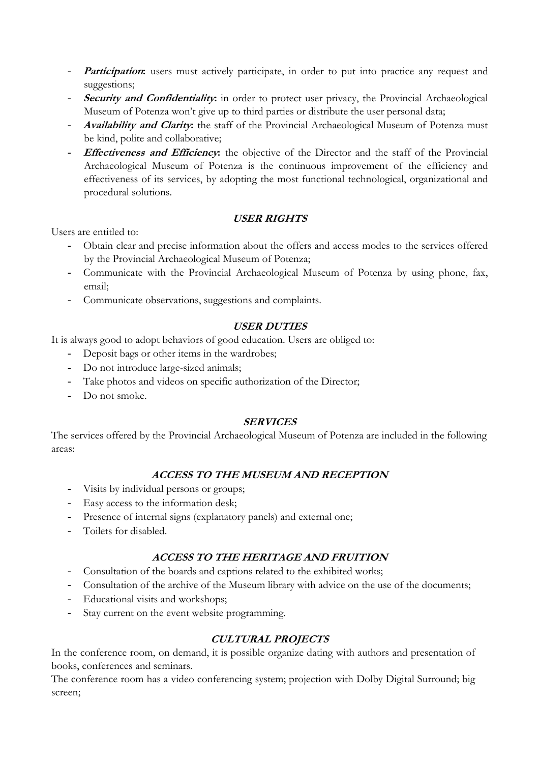- **Participation:** users must actively participate, in order to put into practice any request and suggestions;
- **Security and Confidentiality:** in order to protect user privacy, the Provincial Archaeological Museum of Potenza won't give up to third parties or distribute the user personal data;
- **Availability and Clarity:** the staff of the Provincial Archaeological Museum of Potenza must be kind, polite and collaborative;
- **Effectiveness and Efficiency:** the objective of the Director and the staff of the Provincial Archaeological Museum of Potenza is the continuous improvement of the efficiency and effectiveness of its services, by adopting the most functional technological, organizational and procedural solutions.

# **USER RIGHTS**

Users are entitled to:

- Obtain clear and precise information about the offers and access modes to the services offered by the Provincial Archaeological Museum of Potenza;
- Communicate with the Provincial Archaeological Museum of Potenza by using phone, fax, email;
- Communicate observations, suggestions and complaints.

## **USER DUTIES**

It is always good to adopt behaviors of good education. Users are obliged to:

- Deposit bags or other items in the wardrobes;
- Do not introduce large-sized animals;
- Take photos and videos on specific authorization of the Director;
- Do not smoke.

### **SERVICES**

The services offered by the Provincial Archaeological Museum of Potenza are included in the following areas:

# **ACCESS TO THE MUSEUM AND RECEPTION**

- Visits by individual persons or groups;
- Easy access to the information desk;
- Presence of internal signs (explanatory panels) and external one;
- Toilets for disabled.

# **ACCESS TO THE HERITAGE AND FRUITION**

- Consultation of the boards and captions related to the exhibited works;
- Consultation of the archive of the Museum library with advice on the use of the documents;
- Educational visits and workshops;
- Stay current on the event website programming.

# **CULTURAL PROJECTS**

In the conference room, on demand, it is possible organize dating with authors and presentation of books, conferences and seminars.

The conference room has a video conferencing system; projection with Dolby Digital Surround; big screen;